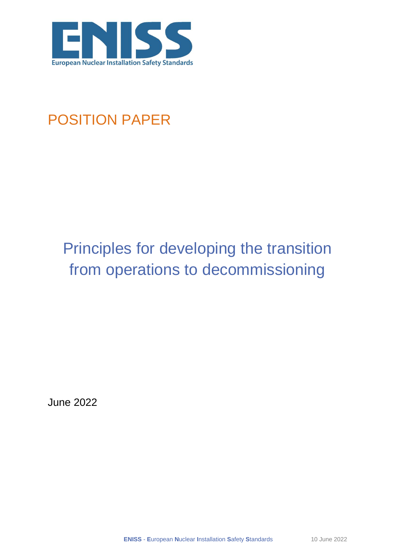

## POSITION PAPER

# Principles for developing the transition from operations to decommissioning

June 2022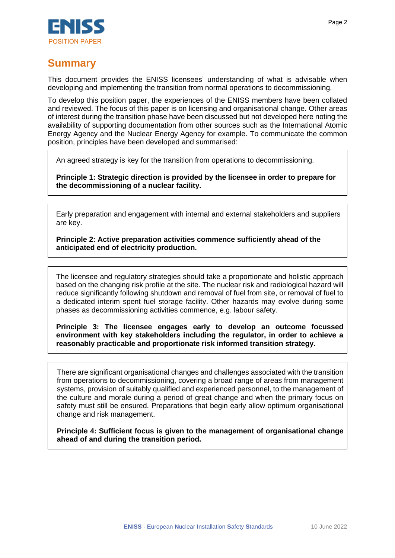

## **Summary**

This document provides the ENISS licensees' understanding of what is advisable when developing and implementing the transition from normal operations to decommissioning.

To develop this position paper, the experiences of the ENISS members have been collated and reviewed. The focus of this paper is on licensing and organisational change. Other areas of interest during the transition phase have been discussed but not developed here noting the availability of supporting documentation from other sources such as the International Atomic Energy Agency and the Nuclear Energy Agency for example. To communicate the common position, principles have been developed and summarised:

An agreed strategy is key for the transition from operations to decommissioning.

**Principle 1: Strategic direction is provided by the licensee in order to prepare for the decommissioning of a nuclear facility.** 

Early preparation and engagement with internal and external stakeholders and suppliers are key.

**Principle 2: Active preparation activities commence sufficiently ahead of the anticipated end of electricity production.**

The licensee and regulatory strategies should take a proportionate and holistic approach based on the changing risk profile at the site. The nuclear risk and radiological hazard will reduce significantly following shutdown and removal of fuel from site, or removal of fuel to a dedicated interim spent fuel storage facility. Other hazards may evolve during some phases as decommissioning activities commence, e.g. labour safety.

**Principle 3: The licensee engages early to develop an outcome focussed environment with key stakeholders including the regulator, in order to achieve a reasonably practicable and proportionate risk informed transition strategy.** 

There are significant organisational changes and challenges associated with the transition from operations to decommissioning, covering a broad range of areas from management systems, provision of suitably qualified and experienced personnel, to the management of the culture and morale during a period of great change and when the primary focus on safety must still be ensured. Preparations that begin early allow optimum organisational change and risk management.

**Principle 4: Sufficient focus is given to the management of organisational change ahead of and during the transition period.**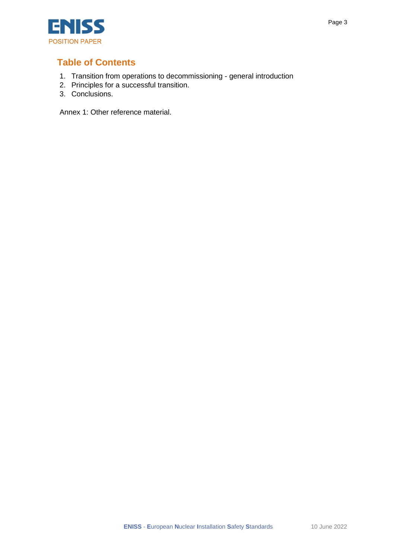

### **Table of Contents**

- 1. Transition from operations to decommissioning general introduction
- 2. Principles for a successful transition.
- 3. Conclusions.

Annex 1: Other reference material.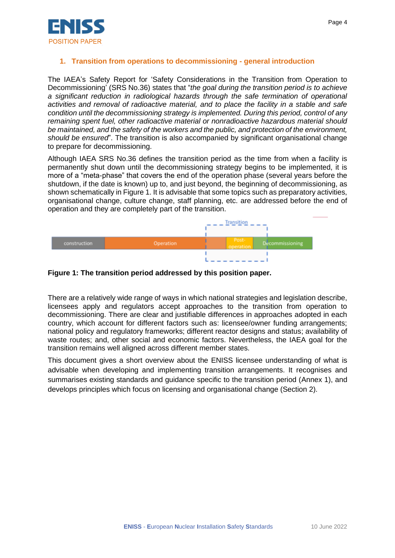

#### **1. Transition from operations to decommissioning - general introduction**

The IAEA's Safety Report for 'Safety Considerations in the Transition from Operation to Decommissioning' (SRS No.36) states that "*the goal during the transition period is to achieve a significant reduction in radiological hazards through the safe termination of operational activities and removal of radioactive material, and to place the facility in a stable and safe condition until the decommissioning strategy is implemented. During this period, control of any remaining spent fuel, other radioactive material or nonradioactive hazardous material should be maintained, and the safety of the workers and the public, and protection of the environment, should be ensured*". The transition is also accompanied by significant organisational change to prepare for decommissioning.

Although IAEA SRS No.36 defines the transition period as the time from when a facility is permanently shut down until the decommissioning strategy begins to be implemented, it is more of a "meta-phase" that covers the end of the operation phase (several years before the shutdown, if the date is known) up to, and just beyond, the beginning of decommissioning, as shown schematically in Figure 1. It is advisable that some topics such as preparatory activities, organisational change, culture change, staff planning, etc. are addressed before the end of operation and they are completely part of the transition.



#### **Figure 1: The transition period addressed by this position paper.**

There are a relatively wide range of ways in which national strategies and legislation describe, licensees apply and regulators accept approaches to the transition from operation to decommissioning. There are clear and justifiable differences in approaches adopted in each country, which account for different factors such as: licensee/owner funding arrangements; national policy and regulatory frameworks; different reactor designs and status; availability of waste routes; and, other social and economic factors. Nevertheless, the IAEA goal for the transition remains well aligned across different member states.

This document gives a short overview about the ENISS licensee understanding of what is advisable when developing and implementing transition arrangements. It recognises and summarises existing standards and guidance specific to the transition period (Annex 1), and develops principles which focus on licensing and organisational change (Section 2).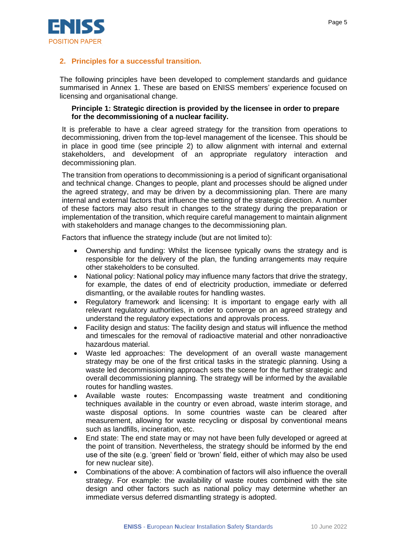

#### **2. Principles for a successful transition.**

The following principles have been developed to complement standards and guidance summarised in Annex 1. These are based on ENISS members' experience focused on licensing and organisational change.

#### **Principle 1: Strategic direction is provided by the licensee in order to prepare for the decommissioning of a nuclear facility.**

It is preferable to have a clear agreed strategy for the transition from operations to decommissioning, driven from the top-level management of the licensee. This should be in place in good time (see principle 2) to allow alignment with internal and external stakeholders, and development of an appropriate regulatory interaction and decommissioning plan.

The transition from operations to decommissioning is a period of significant organisational and technical change. Changes to people, plant and processes should be aligned under the agreed strategy, and may be driven by a decommissioning plan. There are many internal and external factors that influence the setting of the strategic direction. A number of these factors may also result in changes to the strategy during the preparation or implementation of the transition, which require careful management to maintain alignment with stakeholders and manage changes to the decommissioning plan.

Factors that influence the strategy include (but are not limited to):

- Ownership and funding: Whilst the licensee typically owns the strategy and is responsible for the delivery of the plan, the funding arrangements may require other stakeholders to be consulted.
- National policy: National policy may influence many factors that drive the strategy, for example, the dates of end of electricity production, immediate or deferred dismantling, or the available routes for handling wastes.
- Regulatory framework and licensing: It is important to engage early with all relevant regulatory authorities, in order to converge on an agreed strategy and understand the regulatory expectations and approvals process.
- Facility design and status: The facility design and status will influence the method and timescales for the removal of radioactive material and other nonradioactive hazardous material.
- Waste led approaches: The development of an overall waste management strategy may be one of the first critical tasks in the strategic planning. Using a waste led decommissioning approach sets the scene for the further strategic and overall decommissioning planning. The strategy will be informed by the available routes for handling wastes.
- Available waste routes: Encompassing waste treatment and conditioning techniques available in the country or even abroad, waste interim storage, and waste disposal options. In some countries waste can be cleared after measurement, allowing for waste recycling or disposal by conventional means such as landfills, incineration, etc.
- End state: The end state may or may not have been fully developed or agreed at the point of transition. Nevertheless, the strategy should be informed by the end use of the site (e.g. 'green' field or 'brown' field, either of which may also be used for new nuclear site).
- Combinations of the above: A combination of factors will also influence the overall strategy. For example: the availability of waste routes combined with the site design and other factors such as national policy may determine whether an immediate versus deferred dismantling strategy is adopted.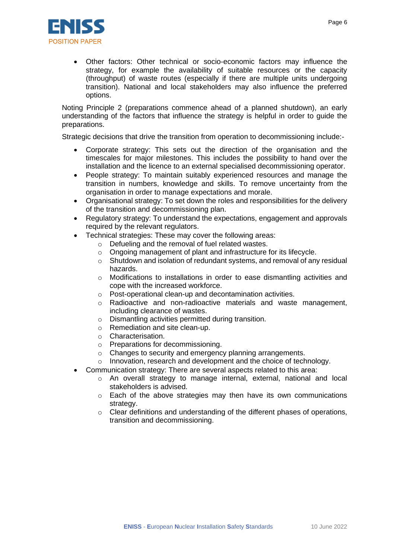

• Other factors: Other technical or socio-economic factors may influence the strategy, for example the availability of suitable resources or the capacity (throughput) of waste routes (especially if there are multiple units undergoing transition). National and local stakeholders may also influence the preferred options.

Noting Principle 2 (preparations commence ahead of a planned shutdown), an early understanding of the factors that influence the strategy is helpful in order to guide the preparations.

Strategic decisions that drive the transition from operation to decommissioning include:-

- Corporate strategy: This sets out the direction of the organisation and the timescales for major milestones. This includes the possibility to hand over the installation and the licence to an external specialised decommissioning operator.
- People strategy: To maintain suitably experienced resources and manage the transition in numbers, knowledge and skills. To remove uncertainty from the organisation in order to manage expectations and morale.
- Organisational strategy: To set down the roles and responsibilities for the delivery of the transition and decommissioning plan.
- Regulatory strategy: To understand the expectations, engagement and approvals required by the relevant regulators.
- Technical strategies: These may cover the following areas:
	- o Defueling and the removal of fuel related wastes.
	- o Ongoing management of plant and infrastructure for its lifecycle.
	- o Shutdown and isolation of redundant systems, and removal of any residual hazards.
	- $\circ$  Modifications to installations in order to ease dismantling activities and cope with the increased workforce.
	- o Post-operational clean-up and decontamination activities.
	- o Radioactive and non-radioactive materials and waste management, including clearance of wastes.
	- o Dismantling activities permitted during transition.
	- o Remediation and site clean-up.
	- o Characterisation.
	- o Preparations for decommissioning.
	- o Changes to security and emergency planning arrangements.
	- o Innovation, research and development and the choice of technology.
	- Communication strategy: There are several aspects related to this area:
		- $\circ$  An overall strategy to manage internal, external, national and local stakeholders is advised.
		- o Each of the above strategies may then have its own communications strategy.
		- $\circ$  Clear definitions and understanding of the different phases of operations, transition and decommissioning.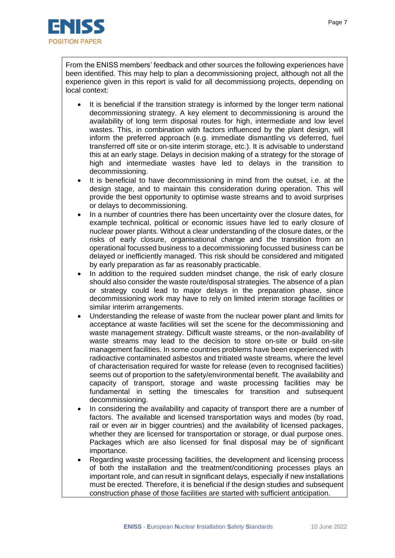

From the ENISS members' feedback and other sources the following experiences have been identified. This may help to plan a decommissioning project, although not all the experience given in this report is valid for all decommissiong projects, depending on local context:

- It is beneficial if the transition strategy is informed by the longer term national decommissioning strategy. A key element to decommissioning is around the availability of long term disposal routes for high, intermediate and low level wastes. This, in combination with factors influenced by the plant design, will inform the preferred approach (e.g. immediate dismantling vs deferred, fuel transferred off site or on-site interim storage, etc.). It is advisable to understand this at an early stage. Delays in decision making of a strategy for the storage of high and intermediate wastes have led to delays in the transition to decommissioning.
- It is beneficial to have decommissioning in mind from the outset, i.e. at the design stage, and to maintain this consideration during operation. This will provide the best opportunity to optimise waste streams and to avoid surprises or delays to decommissioning.
- In a number of countries there has been uncertainty over the closure dates, for example technical, political or economic issues have led to early closure of nuclear power plants. Without a clear understanding of the closure dates, or the risks of early closure, organisational change and the transition from an operational focussed business to a decommissioning focussed business can be delayed or inefficiently managed. This risk should be considered and mitigated by early preparation as far as reasonably practicable.
- In addition to the required sudden mindset change, the risk of early closure should also consider the waste route/disposal strategies. The absence of a plan or strategy could lead to major delays in the preparation phase, since decommissioning work may have to rely on limited interim storage facilities or similar interim arrangements.
- Understanding the release of waste from the nuclear power plant and limits for acceptance at waste facilities will set the scene for the decommissioning and waste management strategy. Difficult waste streams, or the non-availability of waste streams may lead to the decision to store on-site or build on-site management facilities. In some countries problems have been experienced with radioactive contaminated asbestos and tritiated waste streams, where the level of characterisation required for waste for release (even to recognised facilities) seems out of proportion to the safety/environmental benefit. The availability and capacity of transport, storage and waste processing facilities may be fundamental in setting the timescales for transition and subsequent decommissioning.
- In considering the availability and capacity of transport there are a number of factors. The available and licensed transportation ways and modes (by road, rail or even air in bigger countries) and the availability of licensed packages, whether they are licensed for transportation or storage, or dual purpose ones. Packages which are also licensed for final disposal may be of significant importance.
- Regarding waste processing facilities, the development and licensing process of both the installation and the treatment/conditioning processes plays an important role, and can result in significant delays, especially if new installations must be erected. Therefore, it is beneficial if the design studies and subsequent construction phase of those facilities are started with sufficient anticipation.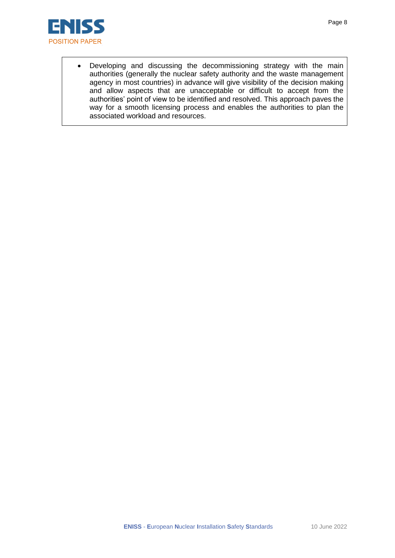

• Developing and discussing the decommissioning strategy with the main authorities (generally the nuclear safety authority and the waste management agency in most countries) in advance will give visibility of the decision making and allow aspects that are unacceptable or difficult to accept from the authorities' point of view to be identified and resolved. This approach paves the way for a smooth licensing process and enables the authorities to plan the associated workload and resources.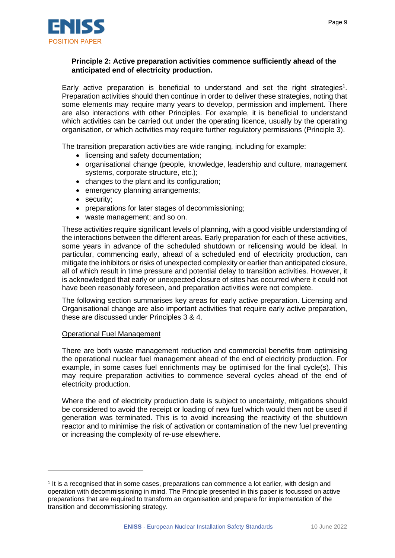

#### **Principle 2: Active preparation activities commence sufficiently ahead of the anticipated end of electricity production.**

Early active preparation is beneficial to understand and set the right strategies<sup>1</sup>. Preparation activities should then continue in order to deliver these strategies, noting that some elements may require many years to develop, permission and implement. There are also interactions with other Principles. For example, it is beneficial to understand which activities can be carried out under the operating licence, usually by the operating organisation, or which activities may require further regulatory permissions (Principle 3).

The transition preparation activities are wide ranging, including for example:

- licensing and safety documentation;
- organisational change (people, knowledge, leadership and culture, management systems, corporate structure, etc.);
- changes to the plant and its configuration;
- emergency planning arrangements;
- security;
- preparations for later stages of decommissioning;
- waste management; and so on.

These activities require significant levels of planning, with a good visible understanding of the interactions between the different areas. Early preparation for each of these activities, some years in advance of the scheduled shutdown or relicensing would be ideal. In particular, commencing early, ahead of a scheduled end of electricity production, can mitigate the inhibitors or risks of unexpected complexity or earlier than anticipated closure, all of which result in time pressure and potential delay to transition activities. However, it is acknowledged that early or unexpected closure of sites has occurred where it could not have been reasonably foreseen, and preparation activities were not complete.

The following section summarises key areas for early active preparation. Licensing and Organisational change are also important activities that require early active preparation, these are discussed under Principles 3 & 4.

#### Operational Fuel Management

There are both waste management reduction and commercial benefits from optimising the operational nuclear fuel management ahead of the end of electricity production. For example, in some cases fuel enrichments may be optimised for the final cycle(s). This may require preparation activities to commence several cycles ahead of the end of electricity production.

Where the end of electricity production date is subject to uncertainty, mitigations should be considered to avoid the receipt or loading of new fuel which would then not be used if generation was terminated. This is to avoid increasing the reactivity of the shutdown reactor and to minimise the risk of activation or contamination of the new fuel preventing or increasing the complexity of re-use elsewhere.

<sup>1</sup> It is a recognised that in some cases, preparations can commence a lot earlier, with design and operation with decommissioning in mind. The Principle presented in this paper is focussed on active preparations that are required to transform an organisation and prepare for implementation of the transition and decommissioning strategy.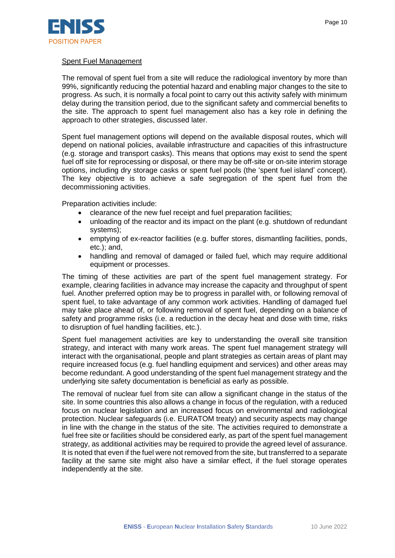

#### Spent Fuel Management

The removal of spent fuel from a site will reduce the radiological inventory by more than 99%, significantly reducing the potential hazard and enabling major changes to the site to progress. As such, it is normally a focal point to carry out this activity safely with minimum delay during the transition period, due to the significant safety and commercial benefits to the site. The approach to spent fuel management also has a key role in defining the approach to other strategies, discussed later.

Spent fuel management options will depend on the available disposal routes, which will depend on national policies, available infrastructure and capacities of this infrastructure (e.g. storage and transport casks). This means that options may exist to send the spent fuel off site for reprocessing or disposal, or there may be off-site or on-site interim storage options, including dry storage casks or spent fuel pools (the 'spent fuel island' concept). The key objective is to achieve a safe segregation of the spent fuel from the decommissioning activities.

Preparation activities include:

- clearance of the new fuel receipt and fuel preparation facilities;
- unloading of the reactor and its impact on the plant (e.g. shutdown of redundant systems);
- emptying of ex-reactor facilities (e.g. buffer stores, dismantling facilities, ponds, etc.); and,
- handling and removal of damaged or failed fuel, which may require additional equipment or processes.

The timing of these activities are part of the spent fuel management strategy. For example, clearing facilities in advance may increase the capacity and throughput of spent fuel. Another preferred option may be to progress in parallel with, or following removal of spent fuel, to take advantage of any common work activities. Handling of damaged fuel may take place ahead of, or following removal of spent fuel, depending on a balance of safety and programme risks (i.e. a reduction in the decay heat and dose with time, risks to disruption of fuel handling facilities, etc.).

Spent fuel management activities are key to understanding the overall site transition strategy, and interact with many work areas. The spent fuel management strategy will interact with the organisational, people and plant strategies as certain areas of plant may require increased focus (e.g. fuel handling equipment and services) and other areas may become redundant. A good understanding of the spent fuel management strategy and the underlying site safety documentation is beneficial as early as possible.

The removal of nuclear fuel from site can allow a significant change in the status of the site. In some countries this also allows a change in focus of the regulation, with a reduced focus on nuclear legislation and an increased focus on environmental and radiological protection. Nuclear safeguards (i.e. EURATOM treaty) and security aspects may change in line with the change in the status of the site. The activities required to demonstrate a fuel free site or facilities should be considered early, as part of the spent fuel management strategy, as additional activities may be required to provide the agreed level of assurance. It is noted that even if the fuel were not removed from the site, but transferred to a separate facility at the same site might also have a similar effect, if the fuel storage operates independently at the site.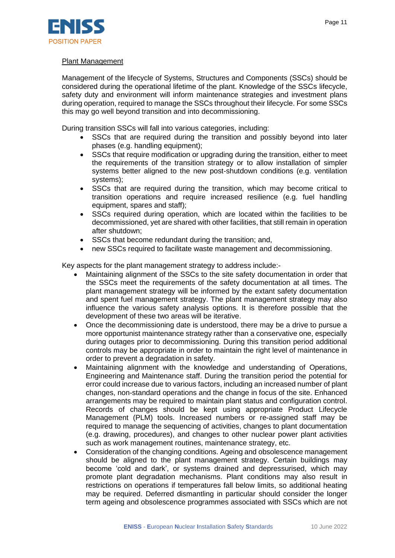

#### Plant Management

Management of the lifecycle of Systems, Structures and Components (SSCs) should be considered during the operational lifetime of the plant. Knowledge of the SSCs lifecycle, safety duty and environment will inform maintenance strategies and investment plans during operation, required to manage the SSCs throughout their lifecycle. For some SSCs this may go well beyond transition and into decommissioning.

During transition SSCs will fall into various categories, including:

- SSCs that are required during the transition and possibly beyond into later phases (e.g. handling equipment);
- SSCs that require modification or upgrading during the transition, either to meet the requirements of the transition strategy or to allow installation of simpler systems better aligned to the new post-shutdown conditions (e.g. ventilation systems);
- SSCs that are required during the transition, which may become critical to transition operations and require increased resilience (e.g. fuel handling equipment, spares and staff);
- SSCs required during operation, which are located within the facilities to be decommissioned, yet are shared with other facilities, that still remain in operation after shutdown;
- SSCs that become redundant during the transition; and,
- new SSCs required to facilitate waste management and decommissioning.

Key aspects for the plant management strategy to address include:-

- Maintaining alignment of the SSCs to the site safety documentation in order that the SSCs meet the requirements of the safety documentation at all times. The plant management strategy will be informed by the extant safety documentation and spent fuel management strategy. The plant management strategy may also influence the various safety analysis options. It is therefore possible that the development of these two areas will be iterative.
- Once the decommissioning date is understood, there may be a drive to pursue a more opportunist maintenance strategy rather than a conservative one, especially during outages prior to decommissioning. During this transition period additional controls may be appropriate in order to maintain the right level of maintenance in order to prevent a degradation in safety.
- Maintaining alignment with the knowledge and understanding of Operations, Engineering and Maintenance staff. During the transition period the potential for error could increase due to various factors, including an increased number of plant changes, non-standard operations and the change in focus of the site. Enhanced arrangements may be required to maintain plant status and configuration control. Records of changes should be kept using appropriate Product Lifecycle Management (PLM) tools. Increased numbers or re-assigned staff may be required to manage the sequencing of activities, changes to plant documentation (e.g. drawing, procedures), and changes to other nuclear power plant activities such as work management routines, maintenance strategy, etc.
- Consideration of the changing conditions. Ageing and obsolescence management should be aligned to the plant management strategy. Certain buildings may become 'cold and dark', or systems drained and depressurised, which may promote plant degradation mechanisms. Plant conditions may also result in restrictions on operations if temperatures fall below limits, so additional heating may be required. Deferred dismantling in particular should consider the longer term ageing and obsolescence programmes associated with SSCs which are not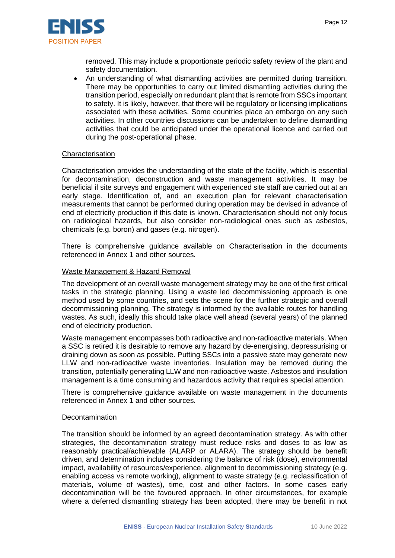

removed. This may include a proportionate periodic safety review of the plant and safety documentation.

• An understanding of what dismantling activities are permitted during transition. There may be opportunities to carry out limited dismantling activities during the transition period, especially on redundant plant that is remote from SSCs important to safety. It is likely, however, that there will be regulatory or licensing implications associated with these activities. Some countries place an embargo on any such activities. In other countries discussions can be undertaken to define dismantling activities that could be anticipated under the operational licence and carried out during the post-operational phase.

#### **Characterisation**

Characterisation provides the understanding of the state of the facility, which is essential for decontamination, deconstruction and waste management activities. It may be beneficial if site surveys and engagement with experienced site staff are carried out at an early stage. Identification of, and an execution plan for relevant characterisation measurements that cannot be performed during operation may be devised in advance of end of electricity production if this date is known. Characterisation should not only focus on radiological hazards, but also consider non-radiological ones such as asbestos, chemicals (e.g. boron) and gases (e.g. nitrogen).

There is comprehensive guidance available on Characterisation in the documents referenced in Annex 1 and other sources.

#### Waste Management & Hazard Removal

The development of an overall waste management strategy may be one of the first critical tasks in the strategic planning. Using a waste led decommissioning approach is one method used by some countries, and sets the scene for the further strategic and overall decommissioning planning. The strategy is informed by the available routes for handling wastes. As such, ideally this should take place well ahead (several years) of the planned end of electricity production.

Waste management encompasses both radioactive and non-radioactive materials. When a SSC is retired it is desirable to remove any hazard by de-energising, depressurising or draining down as soon as possible. Putting SSCs into a passive state may generate new LLW and non-radioactive waste inventories. Insulation may be removed during the transition, potentially generating LLW and non-radioactive waste. Asbestos and insulation management is a time consuming and hazardous activity that requires special attention.

There is comprehensive guidance available on waste management in the documents referenced in Annex 1 and other sources.

#### **Decontamination**

The transition should be informed by an agreed decontamination strategy. As with other strategies, the decontamination strategy must reduce risks and doses to as low as reasonably practical/achievable (ALARP or ALARA). The strategy should be benefit driven, and determination includes considering the balance of risk (dose), environmental impact, availability of resources/experience, alignment to decommissioning strategy (e.g. enabling access vs remote working), alignment to waste strategy (e.g. reclassification of materials, volume of wastes), time, cost and other factors. In some cases early decontamination will be the favoured approach. In other circumstances, for example where a deferred dismantling strategy has been adopted, there may be benefit in not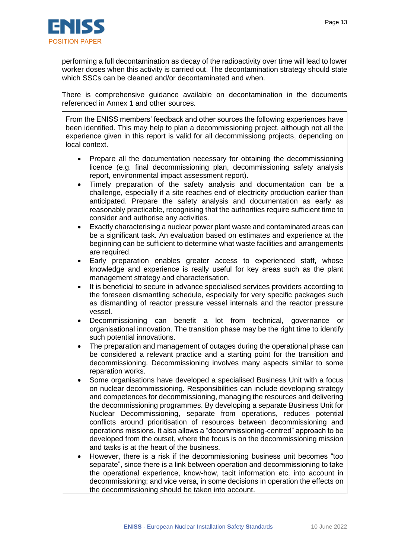

performing a full decontamination as decay of the radioactivity over time will lead to lower worker doses when this activity is carried out. The decontamination strategy should state which SSCs can be cleaned and/or decontaminated and when.

There is comprehensive guidance available on decontamination in the documents referenced in Annex 1 and other sources.

From the ENISS members' feedback and other sources the following experiences have been identified. This may help to plan a decommissioning project, although not all the experience given in this report is valid for all decommissiong projects, depending on local context.

- Prepare all the documentation necessary for obtaining the decommissioning licence (e.g. final decommissioning plan, decommissioning safety analysis report, environmental impact assessment report).
- Timely preparation of the safety analysis and documentation can be a challenge, especially if a site reaches end of electricity production earlier than anticipated. Prepare the safety analysis and documentation as early as reasonably practicable, recognising that the authorities require sufficient time to consider and authorise any activities.
- Exactly characterising a nuclear power plant waste and contaminated areas can be a significant task. An evaluation based on estimates and experience at the beginning can be sufficient to determine what waste facilities and arrangements are required.
- Early preparation enables greater access to experienced staff, whose knowledge and experience is really useful for key areas such as the plant management strategy and characterisation.
- It is beneficial to secure in advance specialised services providers according to the foreseen dismantling schedule, especially for very specific packages such as dismantling of reactor pressure vessel internals and the reactor pressure vessel.
- Decommissioning can benefit a lot from technical, governance or organisational innovation. The transition phase may be the right time to identify such potential innovations.
- The preparation and management of outages during the operational phase can be considered a relevant practice and a starting point for the transition and decommissioning. Decommissioning involves many aspects similar to some reparation works.
- Some organisations have developed a specialised Business Unit with a focus on nuclear decommissioning. Responsibilities can include developing strategy and competences for decommissioning, managing the resources and delivering the decommissioning programmes. By developing a separate Business Unit for Nuclear Decommissioning, separate from operations, reduces potential conflicts around prioritisation of resources between decommissioning and operations missions. It also allows a "decommissioning-centred" approach to be developed from the outset, where the focus is on the decommissioning mission and tasks is at the heart of the business.
- However, there is a risk if the decommissioning business unit becomes "too separate", since there is a link between operation and decommissioning to take the operational experience, know-how, tacit information etc. into account in decommissioning; and vice versa, in some decisions in operation the effects on the decommissioning should be taken into account.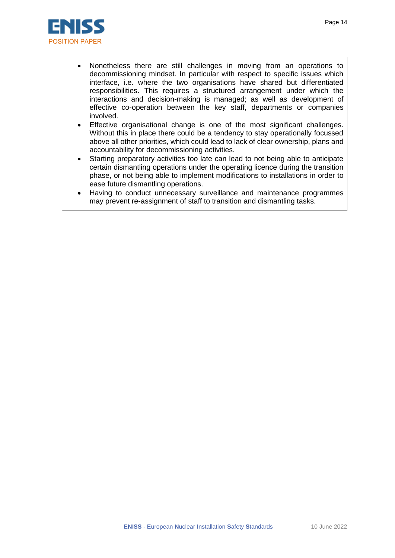

- Nonetheless there are still challenges in moving from an operations to decommissioning mindset. In particular with respect to specific issues which interface, i.e. where the two organisations have shared but differentiated responsibilities. This requires a structured arrangement under which the interactions and decision-making is managed; as well as development of effective co-operation between the key staff, departments or companies involved.
- Effective organisational change is one of the most significant challenges. Without this in place there could be a tendency to stay operationally focussed above all other priorities, which could lead to lack of clear ownership, plans and accountability for decommissioning activities.
- Starting preparatory activities too late can lead to not being able to anticipate certain dismantling operations under the operating licence during the transition phase, or not being able to implement modifications to installations in order to ease future dismantling operations.
- Having to conduct unnecessary surveillance and maintenance programmes may prevent re-assignment of staff to transition and dismantling tasks.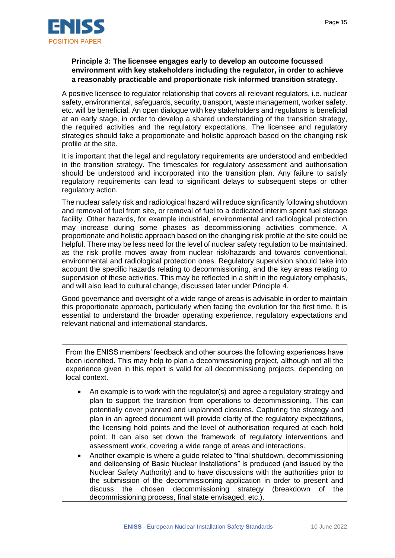

#### **Principle 3: The licensee engages early to develop an outcome focussed environment with key stakeholders including the regulator, in order to achieve a reasonably practicable and proportionate risk informed transition strategy.**

A positive licensee to regulator relationship that covers all relevant regulators, i.e. nuclear safety, environmental, safeguards, security, transport, waste management, worker safety, etc. will be beneficial. An open dialogue with key stakeholders and regulators is beneficial at an early stage, in order to develop a shared understanding of the transition strategy, the required activities and the regulatory expectations. The licensee and regulatory strategies should take a proportionate and holistic approach based on the changing risk profile at the site.

It is important that the legal and regulatory requirements are understood and embedded in the transition strategy. The timescales for regulatory assessment and authorisation should be understood and incorporated into the transition plan. Any failure to satisfy regulatory requirements can lead to significant delays to subsequent steps or other regulatory action.

The nuclear safety risk and radiological hazard will reduce significantly following shutdown and removal of fuel from site, or removal of fuel to a dedicated interim spent fuel storage facility. Other hazards, for example industrial, environmental and radiological protection may increase during some phases as decommissioning activities commence. A proportionate and holistic approach based on the changing risk profile at the site could be helpful. There may be less need for the level of nuclear safety regulation to be maintained, as the risk profile moves away from nuclear risk/hazards and towards conventional, environmental and radiological protection ones. Regulatory supervision should take into account the specific hazards relating to decommissioning, and the key areas relating to supervision of these activities. This may be reflected in a shift in the regulatory emphasis, and will also lead to cultural change, discussed later under Principle 4.

Good governance and oversight of a wide range of areas is advisable in order to maintain this proportionate approach, particularly when facing the evolution for the first time. It is essential to understand the broader operating experience, regulatory expectations and relevant national and international standards.

From the ENISS members' feedback and other sources the following experiences have been identified. This may help to plan a decommissioning project, although not all the experience given in this report is valid for all decommissiong projects, depending on local context.

- An example is to work with the regulator(s) and agree a regulatory strategy and plan to support the transition from operations to decommissioning. This can potentially cover planned and unplanned closures. Capturing the strategy and plan in an agreed document will provide clarity of the regulatory expectations, the licensing hold points and the level of authorisation required at each hold point. It can also set down the framework of regulatory interventions and assessment work, covering a wide range of areas and interactions.
- Another example is where a guide related to "final shutdown, decommissioning and delicensing of Basic Nuclear Installations" is produced (and issued by the Nuclear Safety Authority) and to have discussions with the authorities prior to the submission of the decommissioning application in order to present and discuss the chosen decommissioning strategy (breakdown of the decommissioning process, final state envisaged, etc.).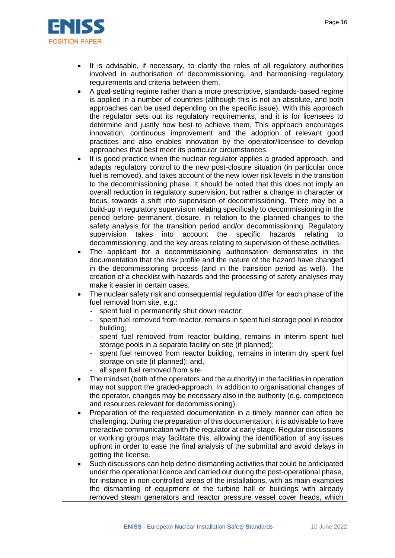

- It is advisable, if necessary, to clarify the roles of all regulatory authorities involved in authorisation of decommissioning, and harmonising regulatory requirements and criteria between them.
- A goal-setting regime rather than a more prescriptive, standards-based regime is applied in a number of countries (although this is not an absolute, and both approaches can be used depending on the specific issue). With this approach the regulator sets out its regulatory requirements, and it is for licensees to determine and justify how best to achieve them. This approach encourages innovation, continuous improvement and the adoption of relevant good practices and also enables innovation by the operator/licensee to develop approaches that best meet its particular circumstances.
- It is good practice when the nuclear regulator applies a graded approach, and adapts regulatory control to the new post-closure situation (in particular once fuel is removed), and takes account of the new lower risk levels in the transition to the decommissioning phase. It should be noted that this does not imply an overall reduction in regulatory supervision, but rather a change in character or focus, towards a shift into supervision of decommissioning. There may be a build-up in regulatory supervision relating specifically to decommissioning in the period before permanent closure, in relation to the planned changes to the safety analysis for the transition period and/or decommissioning. Regulatory supervision takes into account the specific hazards relating to decommissioning, and the key areas relating to supervision of these activities.
- The applicant for a decommissioning authorisation demonstrates in the documentation that the risk profile and the nature of the hazard have changed in the decommissioning process (and in the transition period as well). The creation of a checklist with hazards and the processing of safety analyses may make it easier in certain cases.
- The nuclear safety risk and consequential regulation differ for each phase of the fuel removal from site, e.g.:
	- spent fuel in permanently shut down reactor;
	- spent fuel removed from reactor, remains in spent fuel storage pool in reactor building;
	- spent fuel removed from reactor building, remains in interim spent fuel storage pools in a separate facility on site (if planned);
	- spent fuel removed from reactor building, remains in interim dry spent fuel storage on site (if planned); and,
	- all spent fuel removed from site.
- The mindset (both of the operators and the authority) in the facilities in operation may not support the graded-approach. In addition to organisational changes of the operator, changes may be necessary also in the authority (e.g. competence and resources relevant for decommissioning).
- Preparation of the requested documentation in a timely manner can often be challenging. During the preparation of this documentation, it is advisable to have interactive communication with the regulator at early stage. Regular discussions or working groups may facilitate this, allowing the identification of any issues upfront in order to ease the final analysis of the submittal and avoid delays in getting the license.
- Such discussions can help define dismantling activities that could be anticipated under the operational licence and carried out during the post-operational phase, for instance in non-controlled areas of the installations, with as main examples the dismantling of equipment of the turbine hall or buildings with already removed steam generators and reactor pressure vessel cover heads, which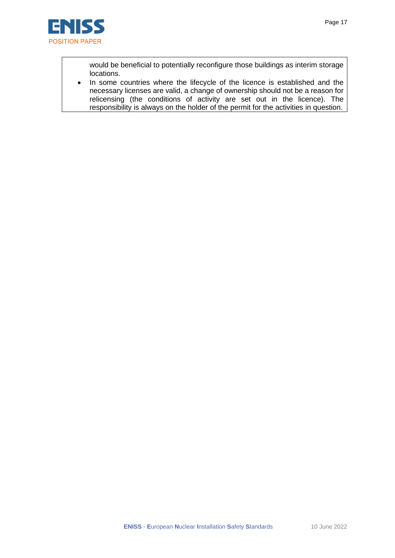

would be beneficial to potentially reconfigure those buildings as interim storage locations.

• In some countries where the lifecycle of the licence is established and the necessary licenses are valid, a change of ownership should not be a reason for relicensing (the conditions of activity are set out in the licence). The responsibility is always on the holder of the permit for the activities in question.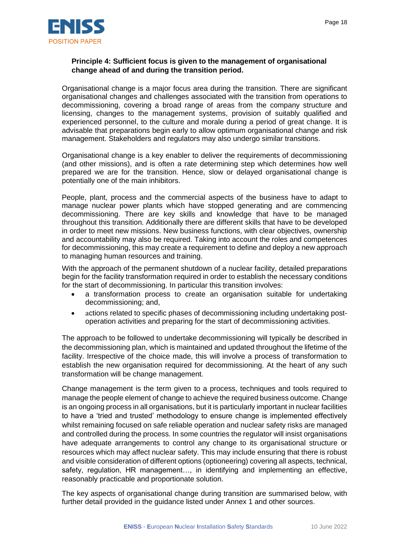

#### **Principle 4: Sufficient focus is given to the management of organisational change ahead of and during the transition period.**

Organisational change is a major focus area during the transition. There are significant organisational changes and challenges associated with the transition from operations to decommissioning, covering a broad range of areas from the company structure and licensing, changes to the management systems, provision of suitably qualified and experienced personnel, to the culture and morale during a period of great change. It is advisable that preparations begin early to allow optimum organisational change and risk management. Stakeholders and regulators may also undergo similar transitions.

Organisational change is a key enabler to deliver the requirements of decommissioning (and other missions), and is often a rate determining step which determines how well prepared we are for the transition. Hence, slow or delayed organisational change is potentially one of the main inhibitors.

People, plant, process and the commercial aspects of the business have to adapt to manage nuclear power plants which have stopped generating and are commencing decommissioning. There are key skills and knowledge that have to be managed throughout this transition. Additionally there are different skills that have to be developed in order to meet new missions. New business functions, with clear objectives, ownership and accountability may also be required. Taking into account the roles and competences for decommissioning, this may create a requirement to define and deploy a new approach to managing human resources and training.

With the approach of the permanent shutdown of a nuclear facility, detailed preparations begin for the facility transformation required in order to establish the necessary conditions for the start of decommissioning. In particular this transition involves:

- a transformation process to create an organisation suitable for undertaking decommissioning; and,
- actions related to specific phases of decommissioning including undertaking postoperation activities and preparing for the start of decommissioning activities.

The approach to be followed to undertake decommissioning will typically be described in the decommissioning plan, which is maintained and updated throughout the lifetime of the facility. Irrespective of the choice made, this will involve a process of transformation to establish the new organisation required for decommissioning. At the heart of any such transformation will be change management.

Change management is the term given to a process, techniques and tools required to manage the people element of change to achieve the required business outcome. Change is an ongoing process in all organisations, but it is particularly important in nuclear facilities to have a 'tried and trusted' methodology to ensure change is implemented effectively whilst remaining focused on safe reliable operation and nuclear safety risks are managed and controlled during the process. In some countries the regulator will insist organisations have adequate arrangements to control any change to its organisational structure or resources which may affect nuclear safety. This may include ensuring that there is robust and visible consideration of different options (optioneering) covering all aspects, technical, safety, regulation, HR management…, in identifying and implementing an effective, reasonably practicable and proportionate solution.

The key aspects of organisational change during transition are summarised below, with further detail provided in the guidance listed under Annex 1 and other sources.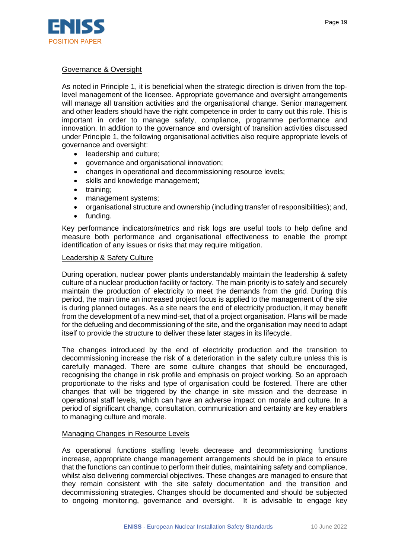

#### Governance & Oversight

As noted in Principle 1, it is beneficial when the strategic direction is driven from the toplevel management of the licensee. Appropriate governance and oversight arrangements will manage all transition activities and the organisational change. Senior management and other leaders should have the right competence in order to carry out this role. This is important in order to manage safety, compliance, programme performance and innovation. In addition to the governance and oversight of transition activities discussed under Principle 1, the following organisational activities also require appropriate levels of governance and oversight:

- leadership and culture;
- governance and organisational innovation;
- changes in operational and decommissioning resource levels;
- skills and knowledge management;
- training:
- management systems;
- organisational structure and ownership (including transfer of responsibilities); and,
- funding.

Key performance indicators/metrics and risk logs are useful tools to help define and measure both performance and organisational effectiveness to enable the prompt identification of any issues or risks that may require mitigation.

#### Leadership & Safety Culture

During operation, nuclear power plants understandably maintain the leadership & safety culture of a nuclear production facility or factory. The main priority is to safely and securely maintain the production of electricity to meet the demands from the grid. During this period, the main time an increased project focus is applied to the management of the site is during planned outages. As a site nears the end of electricity production, it may benefit from the development of a new mind-set, that of a project organisation. Plans will be made for the defueling and decommissioning of the site, and the organisation may need to adapt itself to provide the structure to deliver these later stages in its lifecycle.

The changes introduced by the end of electricity production and the transition to decommissioning increase the risk of a deterioration in the safety culture unless this is carefully managed. There are some culture changes that should be encouraged, recognising the change in risk profile and emphasis on project working. So an approach proportionate to the risks and type of organisation could be fostered. There are other changes that will be triggered by the change in site mission and the decrease in operational staff levels, which can have an adverse impact on morale and culture. In a period of significant change, consultation, communication and certainty are key enablers to managing culture and morale*.* 

#### Managing Changes in Resource Levels

As operational functions staffing levels decrease and decommissioning functions increase, appropriate change management arrangements should be in place to ensure that the functions can continue to perform their duties, maintaining safety and compliance, whilst also delivering commercial objectives. These changes are managed to ensure that they remain consistent with the site safety documentation and the transition and decommissioning strategies. Changes should be documented and should be subjected to ongoing monitoring, governance and oversight. It is advisable to engage key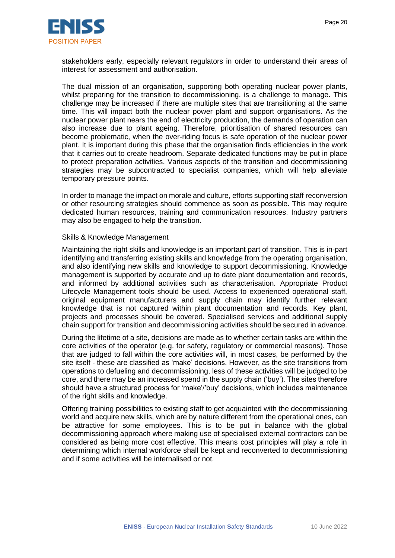

stakeholders early, especially relevant regulators in order to understand their areas of interest for assessment and authorisation.

The dual mission of an organisation, supporting both operating nuclear power plants, whilst preparing for the transition to decommissioning, is a challenge to manage. This challenge may be increased if there are multiple sites that are transitioning at the same time. This will impact both the nuclear power plant and support organisations. As the nuclear power plant nears the end of electricity production, the demands of operation can also increase due to plant ageing. Therefore, prioritisation of shared resources can become problematic, when the over-riding focus is safe operation of the nuclear power plant. It is important during this phase that the organisation finds efficiencies in the work that it carries out to create headroom. Separate dedicated functions may be put in place to protect preparation activities. Various aspects of the transition and decommissioning strategies may be subcontracted to specialist companies, which will help alleviate temporary pressure points.

In order to manage the impact on morale and culture, efforts supporting staff reconversion or other resourcing strategies should commence as soon as possible. This may require dedicated human resources, training and communication resources. Industry partners may also be engaged to help the transition.

#### Skills & Knowledge Management

Maintaining the right skills and knowledge is an important part of transition. This is in-part identifying and transferring existing skills and knowledge from the operating organisation, and also identifying new skills and knowledge to support decommissioning. Knowledge management is supported by accurate and up to date plant documentation and records, and informed by additional activities such as characterisation. Appropriate Product Lifecycle Management tools should be used. Access to experienced operational staff, original equipment manufacturers and supply chain may identify further relevant knowledge that is not captured within plant documentation and records. Key plant, projects and processes should be covered. Specialised services and additional supply chain support for transition and decommissioning activities should be secured in advance.

During the lifetime of a site, decisions are made as to whether certain tasks are within the core activities of the operator (e.g. for safety, regulatory or commercial reasons). Those that are judged to fall within the core activities will, in most cases, be performed by the site itself - these are classified as 'make' decisions. However, as the site transitions from operations to defueling and decommissioning, less of these activities will be judged to be core, and there may be an increased spend in the supply chain ('buy'). The sites therefore should have a structured process for 'make'/'buy' decisions, which includes maintenance of the right skills and knowledge.

Offering training possibilities to existing staff to get acquainted with the decommissioning world and acquire new skills, which are by nature different from the operational ones, can be attractive for some employees. This is to be put in balance with the global decommissioning approach where making use of specialised external contractors can be considered as being more cost effective. This means cost principles will play a role in determining which internal workforce shall be kept and reconverted to decommissioning and if some activities will be internalised or not.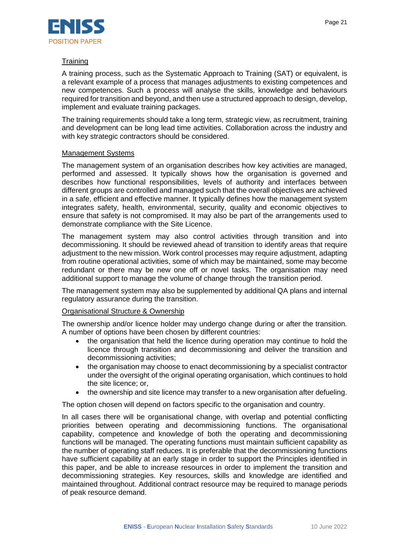

#### **Training**

A training process, such as the Systematic Approach to Training (SAT) or equivalent, is a relevant example of a process that manages adjustments to existing competences and new competences. Such a process will analyse the skills, knowledge and behaviours required for transition and beyond, and then use a structured approach to design, develop, implement and evaluate training packages.

The training requirements should take a long term, strategic view, as recruitment, training and development can be long lead time activities. Collaboration across the industry and with key strategic contractors should be considered.

#### Management Systems

The management system of an organisation describes how key activities are managed, performed and assessed. It typically shows how the organisation is governed and describes how functional responsibilities, levels of authority and interfaces between different groups are controlled and managed such that the overall objectives are achieved in a safe, efficient and effective manner. It typically defines how the management system integrates safety, health, environmental, security, quality and economic objectives to ensure that safety is not compromised. It may also be part of the arrangements used to demonstrate compliance with the Site Licence.

The management system may also control activities through transition and into decommissioning. It should be reviewed ahead of transition to identify areas that require adjustment to the new mission. Work control processes may require adjustment, adapting from routine operational activities, some of which may be maintained, some may become redundant or there may be new one off or novel tasks. The organisation may need additional support to manage the volume of change through the transition period.

The management system may also be supplemented by additional QA plans and internal regulatory assurance during the transition.

#### Organisational Structure & Ownership

The ownership and/or licence holder may undergo change during or after the transition. A number of options have been chosen by different countries:

- the organisation that held the licence during operation may continue to hold the licence through transition and decommissioning and deliver the transition and decommissioning activities;
- the organisation may choose to enact decommissioning by a specialist contractor under the oversight of the original operating organisation, which continues to hold the site licence; or,
- the ownership and site licence may transfer to a new organisation after defueling.

The option chosen will depend on factors specific to the organisation and country.

In all cases there will be organisational change, with overlap and potential conflicting priorities between operating and decommissioning functions. The organisational capability, competence and knowledge of both the operating and decommissioning functions will be managed. The operating functions must maintain sufficient capability as the number of operating staff reduces. It is preferable that the decommissioning functions have sufficient capability at an early stage in order to support the Principles identified in this paper, and be able to increase resources in order to implement the transition and decommissioning strategies. Key resources, skills and knowledge are identified and maintained throughout. Additional contract resource may be required to manage periods of peak resource demand.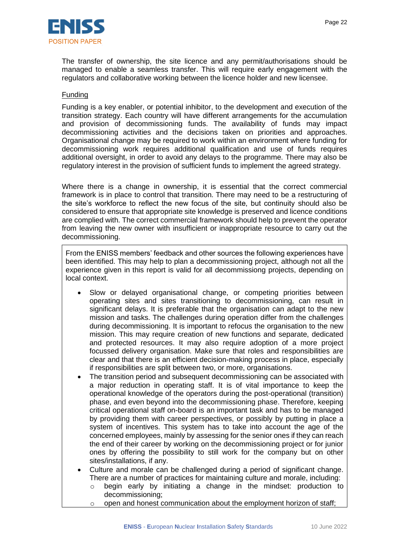

The transfer of ownership, the site licence and any permit/authorisations should be managed to enable a seamless transfer. This will require early engagement with the regulators and collaborative working between the licence holder and new licensee.

#### Funding

Funding is a key enabler, or potential inhibitor, to the development and execution of the transition strategy. Each country will have different arrangements for the accumulation and provision of decommissioning funds. The availability of funds may impact decommissioning activities and the decisions taken on priorities and approaches. Organisational change may be required to work within an environment where funding for decommissioning work requires additional qualification and use of funds requires additional oversight, in order to avoid any delays to the programme. There may also be regulatory interest in the provision of sufficient funds to implement the agreed strategy.

Where there is a change in ownership, it is essential that the correct commercial framework is in place to control that transition. There may need to be a restructuring of the site's workforce to reflect the new focus of the site, but continuity should also be considered to ensure that appropriate site knowledge is preserved and licence conditions are complied with. The correct commercial framework should help to prevent the operator from leaving the new owner with insufficient or inappropriate resource to carry out the decommissioning.

From the ENISS members' feedback and other sources the following experiences have been identified. This may help to plan a decommissioning project, although not all the experience given in this report is valid for all decommissiong projects, depending on local context.

- Slow or delayed organisational change, or competing priorities between operating sites and sites transitioning to decommissioning, can result in significant delays. It is preferable that the organisation can adapt to the new mission and tasks. The challenges during operation differ from the challenges during decommissioning. It is important to refocus the organisation to the new mission. This may require creation of new functions and separate, dedicated and protected resources. It may also require adoption of a more project focussed delivery organisation. Make sure that roles and responsibilities are clear and that there is an efficient decision-making process in place, especially if responsibilities are split between two, or more, organisations.
- The transition period and subsequent decommissioning can be associated with a major reduction in operating staff. It is of vital importance to keep the operational knowledge of the operators during the post-operational (transition) phase, and even beyond into the decommissioning phase. Therefore, keeping critical operational staff on-board is an important task and has to be managed by providing them with career perspectives, or possibly by putting in place a system of incentives. This system has to take into account the age of the concerned employees, mainly by assessing for the senior ones if they can reach the end of their career by working on the decommissioning project or for junior ones by offering the possibility to still work for the company but on other sites/installations, if any.
- Culture and morale can be challenged during a period of significant change. There are a number of practices for maintaining culture and morale, including:
	- $\circ$  begin early by initiating a change in the mindset: production to decommissioning;
	- o open and honest communication about the employment horizon of staff;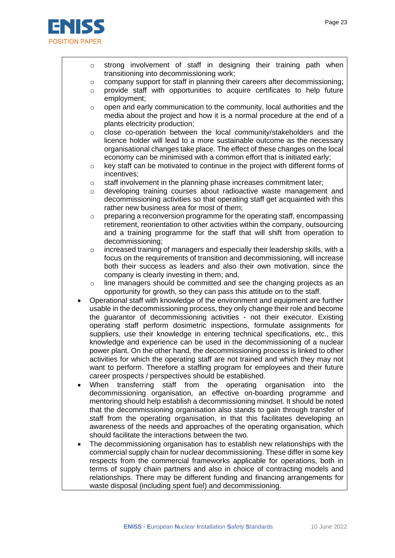

- $\circ$  strong involvement of staff in designing their training path when transitioning into decommissioning work;
- $\circ$  company support for staff in planning their careers after decommissioning;
- $\circ$  provide staff with opportunities to acquire certificates to help future employment;
- $\circ$  open and early communication to the community, local authorities and the media about the project and how it is a normal procedure at the end of a plants electricity production;
- $\circ$  close co-operation between the local community/stakeholders and the licence holder will lead to a more sustainable outcome as the necessary organisational changes take place. The effect of these changes on the local economy can be minimised with a common effort that is initiated early;
- $\circ$  key staff can be motivated to continue in the project with different forms of incentives;
- $\circ$  staff involvement in the planning phase increases commitment later;
- $\circ$  developing training courses about radioactive waste management and decommissioning activities so that operating staff get acquainted with this rather new business area for most of them;
- $\circ$  preparing a reconversion programme for the operating staff, encompassing retirement, reorientation to other activities within the company, outsourcing and a training programme for the staff that will shift from operation to decommissioning;
- $\circ$  increased training of managers and especially their leadership skills, with a focus on the requirements of transition and decommissioning, will increase both their success as leaders and also their own motivation, since the company is clearly investing in them; and,
- o line managers should be committed and see the changing projects as an opportunity for growth, so they can pass this attitude on to the staff.
- Operational staff with knowledge of the environment and equipment are further usable in the decommissioning process, they only change their role and become the guarantor of decommissioning activities - not their executor. Existing operating staff perform dosimetric inspections, formulate assignments for suppliers, use their knowledge in entering technical specifications, etc., this knowledge and experience can be used in the decommissioning of a nuclear power plant. On the other hand, the decommissioning process is linked to other activities for which the operating staff are not trained and which they may not want to perform. Therefore a staffing program for employees and their future career prospects / perspectives should be established.
- When transferring staff from the operating organisation into the decommissioning organisation, an effective on-boarding programme and mentoring should help establish a decommissioning mindset. It should be noted that the decommissioning organisation also stands to gain through transfer of staff from the operating organisation, in that this facilitates developing an awareness of the needs and approaches of the operating organisation, which should facilitate the interactions between the two.
- The decommissioning organisation has to establish new relationships with the commercial supply chain for nuclear decommissioning. These differ in some key respects from the commercial frameworks applicable for operations, both in terms of supply chain partners and also in choice of contracting models and relationships. There may be different funding and financing arrangements for waste disposal (including spent fuel) and decommissioning.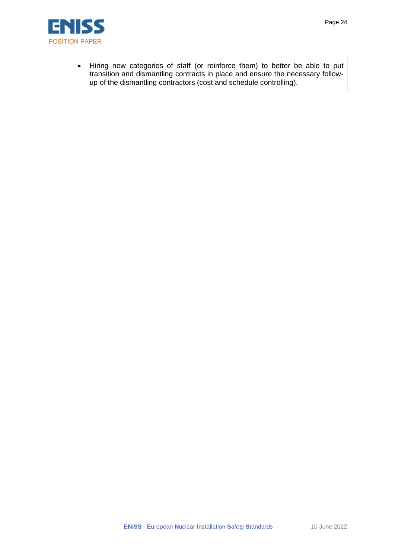

• Hiring new categories of staff (or reinforce them) to better be able to put transition and dismantling contracts in place and ensure the necessary followup of the dismantling contractors (cost and schedule controlling).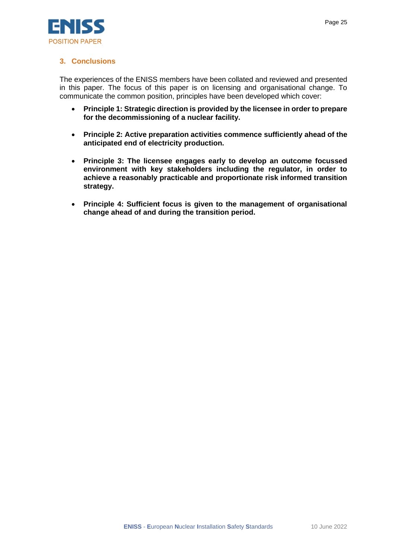

#### **3. Conclusions**

The experiences of the ENISS members have been collated and reviewed and presented in this paper. The focus of this paper is on licensing and organisational change. To communicate the common position, principles have been developed which cover:

- **Principle 1: Strategic direction is provided by the licensee in order to prepare for the decommissioning of a nuclear facility.**
- **Principle 2: Active preparation activities commence sufficiently ahead of the anticipated end of electricity production.**
- **Principle 3: The licensee engages early to develop an outcome focussed environment with key stakeholders including the regulator, in order to achieve a reasonably practicable and proportionate risk informed transition strategy.**
- **Principle 4: Sufficient focus is given to the management of organisational change ahead of and during the transition period.**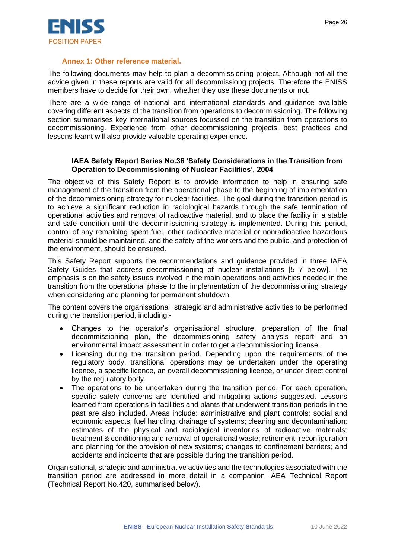

#### **Annex 1: Other reference material.**

The following documents may help to plan a decommissioning project. Although not all the advice given in these reports are valid for all decommissiong projects. Therefore the ENISS members have to decide for their own, whether they use these documents or not.

There are a wide range of national and international standards and guidance available covering different aspects of the transition from operations to decommissioning. The following section summarises key international sources focussed on the transition from operations to decommissioning. Experience from other decommissioning projects, best practices and lessons learnt will also provide valuable operating experience.

#### **IAEA Safety Report Series No.36 'Safety Considerations in the Transition from Operation to Decommissioning of Nuclear Facilities', 2004**

The objective of this Safety Report is to provide information to help in ensuring safe management of the transition from the operational phase to the beginning of implementation of the decommissioning strategy for nuclear facilities. The goal during the transition period is to achieve a significant reduction in radiological hazards through the safe termination of operational activities and removal of radioactive material, and to place the facility in a stable and safe condition until the decommissioning strategy is implemented. During this period, control of any remaining spent fuel, other radioactive material or nonradioactive hazardous material should be maintained, and the safety of the workers and the public, and protection of the environment, should be ensured.

This Safety Report supports the recommendations and guidance provided in three IAEA Safety Guides that address decommissioning of nuclear installations [5–7 below]. The emphasis is on the safety issues involved in the main operations and activities needed in the transition from the operational phase to the implementation of the decommissioning strategy when considering and planning for permanent shutdown.

The content covers the organisational, strategic and administrative activities to be performed during the transition period, including:-

- Changes to the operator's organisational structure, preparation of the final decommissioning plan, the decommissioning safety analysis report and an environmental impact assessment in order to get a decommissioning license.
- Licensing during the transition period. Depending upon the requirements of the regulatory body, transitional operations may be undertaken under the operating licence, a specific licence, an overall decommissioning licence, or under direct control by the regulatory body.
- The operations to be undertaken during the transition period. For each operation, specific safety concerns are identified and mitigating actions suggested. Lessons learned from operations in facilities and plants that underwent transition periods in the past are also included. Areas include: administrative and plant controls; social and economic aspects; fuel handling; drainage of systems; cleaning and decontamination; estimates of the physical and radiological inventories of radioactive materials; treatment & conditioning and removal of operational waste; retirement, reconfiguration and planning for the provision of new systems; changes to confinement barriers; and accidents and incidents that are possible during the transition period.

Organisational, strategic and administrative activities and the technologies associated with the transition period are addressed in more detail in a companion IAEA Technical Report (Technical Report No.420, summarised below).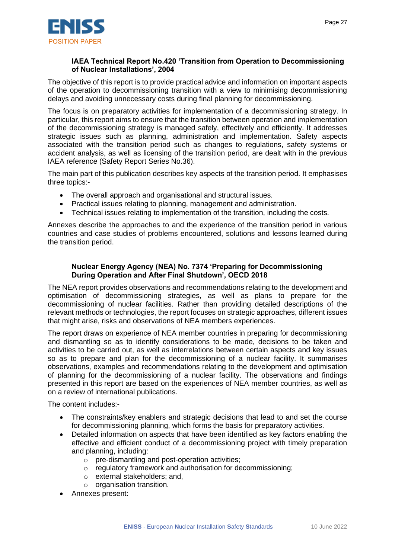

#### **IAEA Technical Report No.420 'Transition from Operation to Decommissioning of Nuclear Installations', 2004**

The objective of this report is to provide practical advice and information on important aspects of the operation to decommissioning transition with a view to minimising decommissioning delays and avoiding unnecessary costs during final planning for decommissioning.

The focus is on preparatory activities for implementation of a decommissioning strategy. In particular, this report aims to ensure that the transition between operation and implementation of the decommissioning strategy is managed safely, effectively and efficiently. It addresses strategic issues such as planning, administration and implementation. Safety aspects associated with the transition period such as changes to regulations, safety systems or accident analysis, as well as licensing of the transition period, are dealt with in the previous IAEA reference (Safety Report Series No.36).

The main part of this publication describes key aspects of the transition period. It emphasises three topics:-

- The overall approach and organisational and structural issues.
- Practical issues relating to planning, management and administration.
- Technical issues relating to implementation of the transition, including the costs.

Annexes describe the approaches to and the experience of the transition period in various countries and case studies of problems encountered, solutions and lessons learned during the transition period.

#### **Nuclear Energy Agency (NEA) No. 7374 'Preparing for Decommissioning During Operation and After Final Shutdown', OECD 2018**

The NEA report provides observations and recommendations relating to the development and optimisation of decommissioning strategies, as well as plans to prepare for the decommissioning of nuclear facilities. Rather than providing detailed descriptions of the relevant methods or technologies, the report focuses on strategic approaches, different issues that might arise, risks and observations of NEA members experiences.

The report draws on experience of NEA member countries in preparing for decommissioning and dismantling so as to identify considerations to be made, decisions to be taken and activities to be carried out, as well as interrelations between certain aspects and key issues so as to prepare and plan for the decommissioning of a nuclear facility. It summarises observations, examples and recommendations relating to the development and optimisation of planning for the decommissioning of a nuclear facility. The observations and findings presented in this report are based on the experiences of NEA member countries, as well as on a review of international publications.

The content includes:-

- The constraints/key enablers and strategic decisions that lead to and set the course for decommissioning planning, which forms the basis for preparatory activities.
- Detailed information on aspects that have been identified as key factors enabling the effective and efficient conduct of a decommissioning project with timely preparation and planning, including:
	- o pre-dismantling and post-operation activities;
	- o regulatory framework and authorisation for decommissioning;
	- o external stakeholders; and,
	- o organisation transition.
- Annexes present: